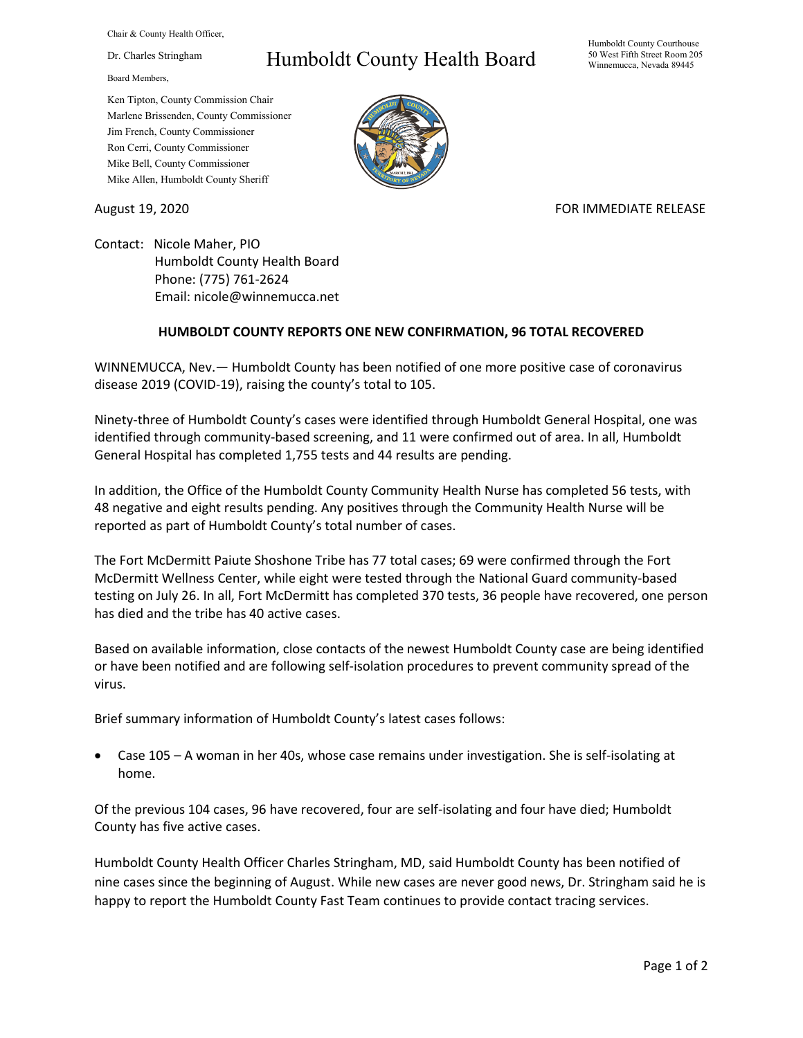Chair & County Health Officer,

Dr. Charles Stringham

Board Members,

## Humboldt County Health Board

Humboldt County Courthouse 50 West Fifth Street Room 205 Winnemucca, Nevada 89445

Ken Tipton, County Commission Chair Marlene Brissenden, County Commissioner Jim French, County Commissioner Ron Cerri, County Commissioner Mike Bell, County Commissioner Mike Allen, Humboldt County Sheriff



## August 19, 2020 **FOR IMMEDIATE RELEASE**

Contact: Nicole Maher, PIO Humboldt County Health Board Phone: (775) 761-2624 Email: nicole@winnemucca.net

## **HUMBOLDT COUNTY REPORTS ONE NEW CONFIRMATION, 96 TOTAL RECOVERED**

WINNEMUCCA, Nev.— Humboldt County has been notified of one more positive case of coronavirus disease 2019 (COVID-19), raising the county's total to 105.

Ninety-three of Humboldt County's cases were identified through Humboldt General Hospital, one was identified through community-based screening, and 11 were confirmed out of area. In all, Humboldt General Hospital has completed 1,755 tests and 44 results are pending.

In addition, the Office of the Humboldt County Community Health Nurse has completed 56 tests, with 48 negative and eight results pending. Any positives through the Community Health Nurse will be reported as part of Humboldt County's total number of cases.

The Fort McDermitt Paiute Shoshone Tribe has 77 total cases; 69 were confirmed through the Fort McDermitt Wellness Center, while eight were tested through the National Guard community-based testing on July 26. In all, Fort McDermitt has completed 370 tests, 36 people have recovered, one person has died and the tribe has 40 active cases.

Based on available information, close contacts of the newest Humboldt County case are being identified or have been notified and are following self-isolation procedures to prevent community spread of the virus.

Brief summary information of Humboldt County's latest cases follows:

• Case 105 – A woman in her 40s, whose case remains under investigation. She is self-isolating at home.

Of the previous 104 cases, 96 have recovered, four are self-isolating and four have died; Humboldt County has five active cases.

Humboldt County Health Officer Charles Stringham, MD, said Humboldt County has been notified of nine cases since the beginning of August. While new cases are never good news, Dr. Stringham said he is happy to report the Humboldt County Fast Team continues to provide contact tracing services.